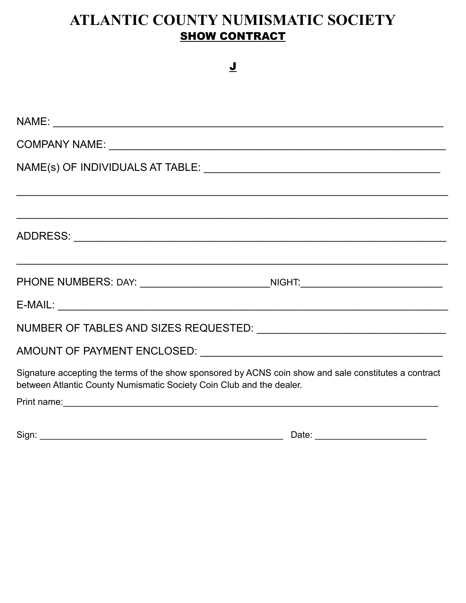## ATLANTIC COUNTY NUMISMATIC SOCIETY **SHOW CONTRACT**

 $\overline{\mathbf{I}}$ 

| COMPANY NAME:                                                                                                                                                                                                                        |
|--------------------------------------------------------------------------------------------------------------------------------------------------------------------------------------------------------------------------------------|
|                                                                                                                                                                                                                                      |
|                                                                                                                                                                                                                                      |
|                                                                                                                                                                                                                                      |
|                                                                                                                                                                                                                                      |
| PHONE NUMBERS: DAY: _____________________________NIGHT:_________________________                                                                                                                                                     |
|                                                                                                                                                                                                                                      |
|                                                                                                                                                                                                                                      |
|                                                                                                                                                                                                                                      |
| Signature accepting the terms of the show sponsored by ACNS coin show and sale constitutes a contract<br>between Atlantic County Numismatic Society Coin Club and the dealer.                                                        |
| Print name: <u>contact the contract of the contract of the contract of the contract of the contract of the contract of the contract of the contract of the contract of the contract of the contract of the contract of the contr</u> |
|                                                                                                                                                                                                                                      |

| Sign.<br>)ate<br>. . |  |
|----------------------|--|
|----------------------|--|